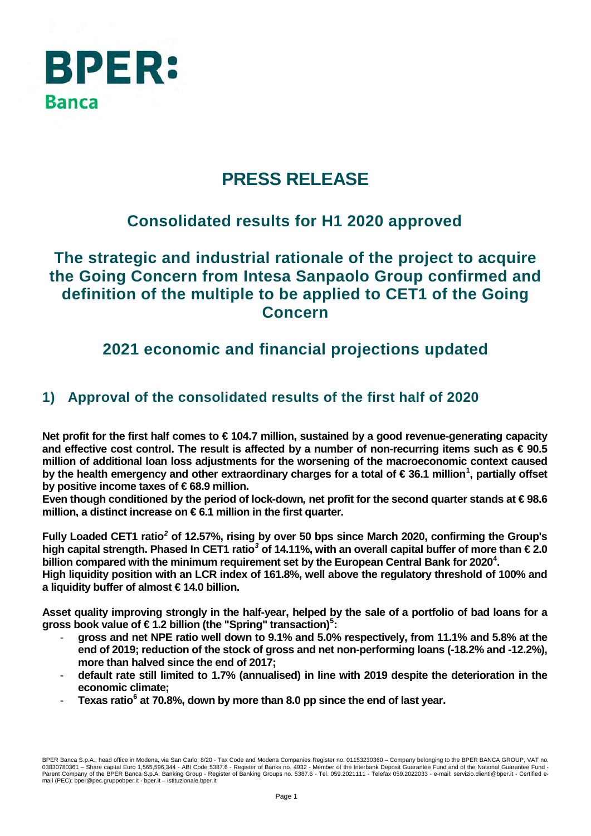

# **PRESS RELEASE**

## **Consolidated results for H1 2020 approved**

## **The strategic and industrial rationale of the project to acquire the Going Concern from Intesa Sanpaolo Group confirmed and definition of the multiple to be applied to CET1 of the Going Concern**

## **2021 economic and financial projections updated**

## **1) Approval of the consolidated results of the first half of 2020**

**Net profit for the first half comes to € 104.7 million, sustained by a good revenue-generating capacity and effective cost control. The result is affected by a number of non-recurring items such as € 90.5 million of additional loan loss adjustments for the worsening of the macroeconomic context caused by the health emergency and other extraordinary charges for a total of € 36.1 million[1](#page-10-0) , partially offset by positive income taxes of € 68.9 million.**

**Even though conditioned by the period of lock-down***,* **net profit for the second quarter stands at € 98.6 million, a distinct increase on € 6.1 million in the first quarter.** 

**Fully Loaded CET1 ratio***[2](#page-10-1)* **of 12.57%, rising by over 50 bps since March 2020, confirming the Group's high capital strength. Phased In CET1 ratio***[3](#page-10-2)* **of 14.11%, with an overall capital buffer of more than € 2.0 billion compared with the minimum requirement set by the European Central Bank for 2020[4](#page-10-3) .** 

**High liquidity position with an LCR index of 161.8%, well above the regulatory threshold of 100% and a liquidity buffer of almost € 14.0 billion.** 

**Asset quality improving strongly in the half-year, helped by the sale of a portfolio of bad loans for a gross book value of € 1.2 billion (the "Spring" transaction)[5](#page-10-4) :** 

- **gross and net NPE ratio well down to 9.1% and 5.0% respectively, from 11.1% and 5.8% at the end of 2019; reduction of the stock of gross and net non-performing loans (-18.2% and -12.2%), more than halved since the end of 2017;**
- **default rate still limited to 1.7% (annualised) in line with 2019 despite the deterioration in the economic climate;**
- **Texas ratio[6](#page-10-5) at 70.8%, down by more than 8.0 pp since the end of last year.**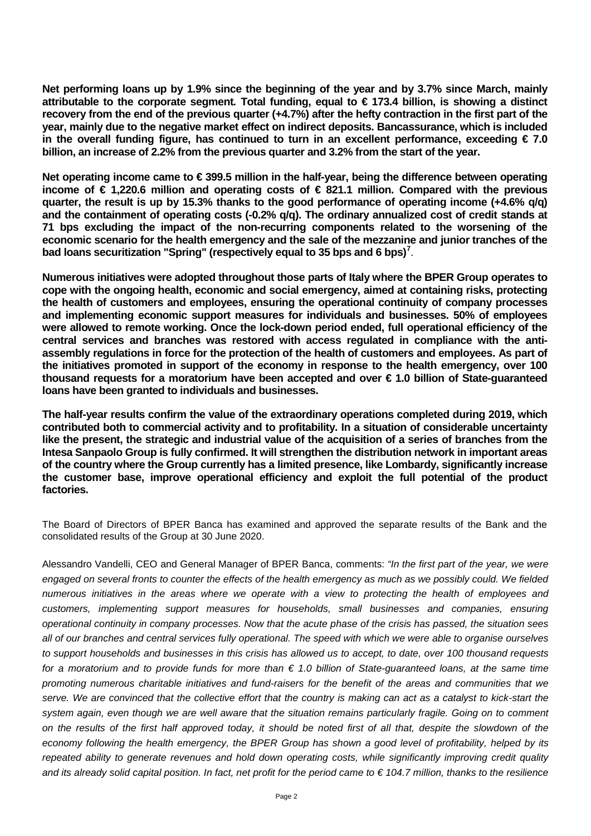**Net performing loans up by 1.9% since the beginning of the year and by 3.7% since March, mainly attributable to the corporate segment***.* **Total funding, equal to € 173.4 billion, is showing a distinct recovery from the end of the previous quarter (+4.7%) after the hefty contraction in the first part of the year, mainly due to the negative market effect on indirect deposits. Bancassurance, which is included in the overall funding figure, has continued to turn in an excellent performance, exceeding € 7.0 billion, an increase of 2.2% from the previous quarter and 3.2% from the start of the year.** 

**Net operating income came to € 399.5 million in the half-year, being the difference between operating income of € 1,220.6 million and operating costs of € 821.1 million. Compared with the previous quarter, the result is up by 15.3% thanks to the good performance of operating income (+4.6% q/q) and the containment of operating costs (-0.2% q/q). The ordinary annualized cost of credit stands at 71 bps excluding the impact of the non-recurring components related to the worsening of the economic scenario for the health emergency and the sale of the mezzanine and junior tranches of the bad loans securitization "Spring" (respectively equal to 35 bps and 6 bps) [7](#page-10-6)** .

**Numerous initiatives were adopted throughout those parts of Italy where the BPER Group operates to cope with the ongoing health, economic and social emergency, aimed at containing risks, protecting the health of customers and employees, ensuring the operational continuity of company processes and implementing economic support measures for individuals and businesses. 50% of employees were allowed to remote working. Once the lock-down period ended, full operational efficiency of the central services and branches was restored with access regulated in compliance with the antiassembly regulations in force for the protection of the health of customers and employees. As part of the initiatives promoted in support of the economy in response to the health emergency, over 100 thousand requests for a moratorium have been accepted and over € 1.0 billion of State-guaranteed loans have been granted to individuals and businesses.**

**The half-year results confirm the value of the extraordinary operations completed during 2019, which contributed both to commercial activity and to profitability. In a situation of considerable uncertainty like the present, the strategic and industrial value of the acquisition of a series of branches from the Intesa Sanpaolo Group is fully confirmed. It will strengthen the distribution network in important areas of the country where the Group currently has a limited presence, like Lombardy, significantly increase the customer base, improve operational efficiency and exploit the full potential of the product factories.**

The Board of Directors of BPER Banca has examined and approved the separate results of the Bank and the consolidated results of the Group at 30 June 2020.

Alessandro Vandelli, CEO and General Manager of BPER Banca, comments: *"In the first part of the year, we were engaged on several fronts to counter the effects of the health emergency as much as we possibly could. We fielded numerous initiatives in the areas where we operate with a view to protecting the health of employees and customers, implementing support measures for households, small businesses and companies, ensuring operational continuity in company processes. Now that the acute phase of the crisis has passed, the situation sees all of our branches and central services fully operational. The speed with which we were able to organise ourselves to support households and businesses in this crisis has allowed us to accept, to date, over 100 thousand requests for a moratorium and to provide funds for more than € 1.0 billion of State-guaranteed loans, at the same time promoting numerous charitable initiatives and fund-raisers for the benefit of the areas and communities that we serve. We are convinced that the collective effort that the country is making can act as a catalyst to kick-start the system again, even though we are well aware that the situation remains particularly fragile. Going on to comment on the results of the first half approved today, it should be noted first of all that, despite the slowdown of the economy following the health emergency, the BPER Group has shown a good level of profitability, helped by its repeated ability to generate revenues and hold down operating costs, while significantly improving credit quality and its already solid capital position. In fact, net profit for the period came to € 104.7 million, thanks to the resilience*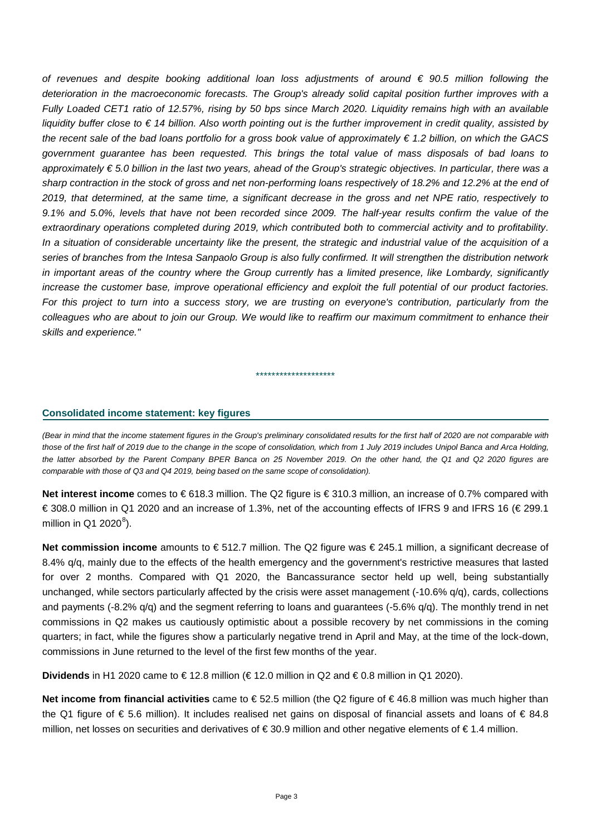*of revenues and despite booking additional loan loss adjustments of around € 90.5 million following the deterioration in the macroeconomic forecasts. The Group's already solid capital position further improves with a Fully Loaded CET1 ratio of 12.57%, rising by 50 bps since March 2020. Liquidity remains high with an available liquidity buffer close to € 14 billion. Also worth pointing out is the further improvement in credit quality, assisted by the recent sale of the bad loans portfolio for a gross book value of approximately € 1.2 billion, on which the GACS government guarantee has been requested. This brings the total value of mass disposals of bad loans to approximately € 5.0 billion in the last two years, ahead of the Group's strategic objectives. In particular, there was a sharp contraction in the stock of gross and net non-performing loans respectively of 18.2% and 12.2% at the end of 2019, that determined, at the same time, a significant decrease in the gross and net NPE ratio, respectively to 9.1% and 5.0%, levels that have not been recorded since 2009. The half-year results confirm the value of the extraordinary operations completed during 2019, which contributed both to commercial activity and to profitability. In a situation of considerable uncertainty like the present, the strategic and industrial value of the acquisition of a series of branches from the Intesa Sanpaolo Group is also fully confirmed. It will strengthen the distribution network in important areas of the country where the Group currently has a limited presence, like Lombardy, significantly increase the customer base, improve operational efficiency and exploit the full potential of our product factories. For this project to turn into a success story, we are trusting on everyone's contribution, particularly from the colleagues who are about to join our Group. We would like to reaffirm our maximum commitment to enhance their skills and experience."*

#### **Consolidated income statement: key figures**

*(Bear in mind that the income statement figures in the Group's preliminary consolidated results for the first half of 2020 are not comparable with those of the first half of 2019 due to the change in the scope of consolidation, which from 1 July 2019 includes Unipol Banca and Arca Holding, the latter absorbed by the Parent Company BPER Banca on 25 November 2019. On the other hand, the Q1 and Q2 2020 figures are comparable with those of Q3 and Q4 2019, being based on the same scope of consolidation).* 

\*\*\*\*\*\*\*\*\*\*\*\*\*\*\*\*\*\*\*\*

**Net interest income** comes to € 618.3 million. The Q2 figure is € 310.3 million, an increase of 0.7% compared with € 308.0 million in Q1 2020 and an increase of 1.3%, net of the accounting effects of IFRS 9 and IFRS 16 (€ 299.1 million in Q1 2020 $^8$  $^8$ ).

**Net commission income** amounts to € 512.7 million. The Q2 figure was € 245.1 million, a significant decrease of 8.4% q/q, mainly due to the effects of the health emergency and the government's restrictive measures that lasted for over 2 months. Compared with Q1 2020, the Bancassurance sector held up well, being substantially unchanged, while sectors particularly affected by the crisis were asset management (-10.6% q/q), cards, collections and payments (-8.2% q/q) and the segment referring to loans and guarantees (-5.6% q/q). The monthly trend in net commissions in Q2 makes us cautiously optimistic about a possible recovery by net commissions in the coming quarters; in fact, while the figures show a particularly negative trend in April and May, at the time of the lock-down, commissions in June returned to the level of the first few months of the year.

**Dividends** in H1 2020 came to €12.8 million (€12.0 million in Q2 and €0.8 million in Q1 2020).

**Net income from financial activities** came to €52.5 million (the Q2 figure of €46.8 million was much higher than the Q1 figure of € 5.6 million). It includes realised net gains on disposal of financial assets and loans of € 84.8 million, net losses on securities and derivatives of €30.9 million and other negative elements of €1.4 million.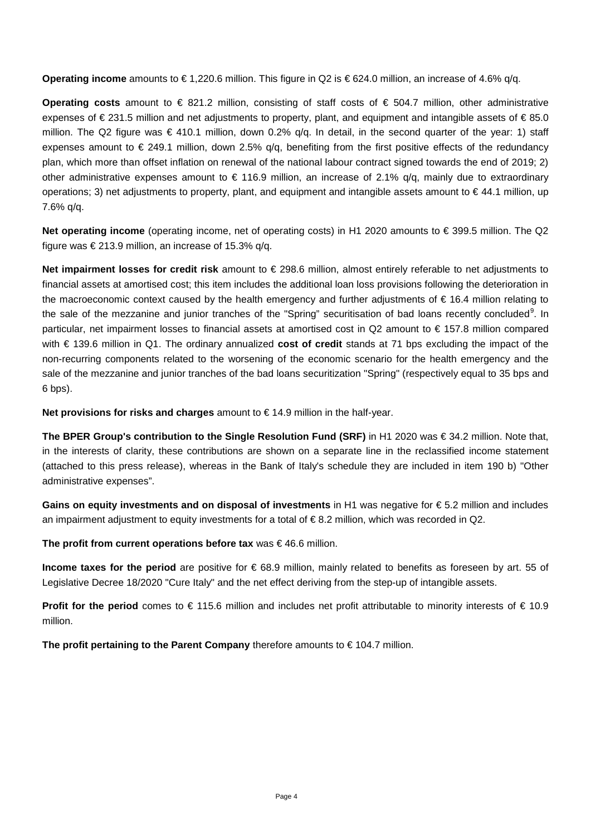**Operating income** amounts to €1,220.6 million. This figure in Q2 is €624.0 million, an increase of 4.6% q/q.

**Operating costs** amount to € 821.2 million, consisting of staff costs of € 504.7 million, other administrative expenses of € 231.5 million and net adjustments to property, plant, and equipment and intangible assets of € 85.0 million. The Q2 figure was € 410.1 million, down 0.2% q/q. In detail, in the second quarter of the year: 1) staff expenses amount to  $\epsilon$  249.1 million, down 2.5% q/q, benefiting from the first positive effects of the redundancy plan, which more than offset inflation on renewal of the national labour contract signed towards the end of 2019; 2) other administrative expenses amount to  $\epsilon$  116.9 million, an increase of 2.1% q/q, mainly due to extraordinary operations; 3) net adjustments to property, plant, and equipment and intangible assets amount to  $\in$  44.1 million, up 7.6% q/q.

**Net operating income** (operating income, net of operating costs) in H1 2020 amounts to € 399.5 million. The Q2 figure was  $\in$  213.9 million, an increase of 15.3% q/q.

**Net impairment losses for credit risk** amount to € 298.6 million, almost entirely referable to net adjustments to financial assets at amortised cost; this item includes the additional loan loss provisions following the deterioration in the macroeconomic context caused by the health emergency and further adjustments of € 16.4 million relating to the sale of the mezzanine and junior tranches of the "Spring" securitisation of bad loans recently concluded<sup>[9](#page-10-8)</sup>. In particular, net impairment losses to financial assets at amortised cost in Q2 amount to € 157.8 million compared with € 139.6 million in Q1. The ordinary annualized **cost of credit** stands at 71 bps excluding the impact of the non-recurring components related to the worsening of the economic scenario for the health emergency and the sale of the mezzanine and junior tranches of the bad loans securitization "Spring" (respectively equal to 35 bps and 6 bps).

**Net provisions for risks and charges** amount to €14.9 million in the half-year.

**The BPER Group's contribution to the Single Resolution Fund (SRF)** in H1 2020 was € 34.2 million. Note that, in the interests of clarity, these contributions are shown on a separate line in the reclassified income statement (attached to this press release), whereas in the Bank of Italy's schedule they are included in item 190 b) "Other administrative expenses".

**Gains on equity investments and on disposal of investments** in H1 was negative for € 5.2 million and includes an impairment adjustment to equity investments for a total of € 8.2 million, which was recorded in Q2.

**The profit from current operations before tax** was € 46.6 million.

**Income taxes for the period** are positive for € 68.9 million, mainly related to benefits as foreseen by art. 55 of Legislative Decree 18/2020 "Cure Italy" and the net effect deriving from the step-up of intangible assets.

**Profit for the period** comes to € 115.6 million and includes net profit attributable to minority interests of € 10.9 million.

**The profit pertaining to the Parent Company** therefore amounts to € 104.7 million.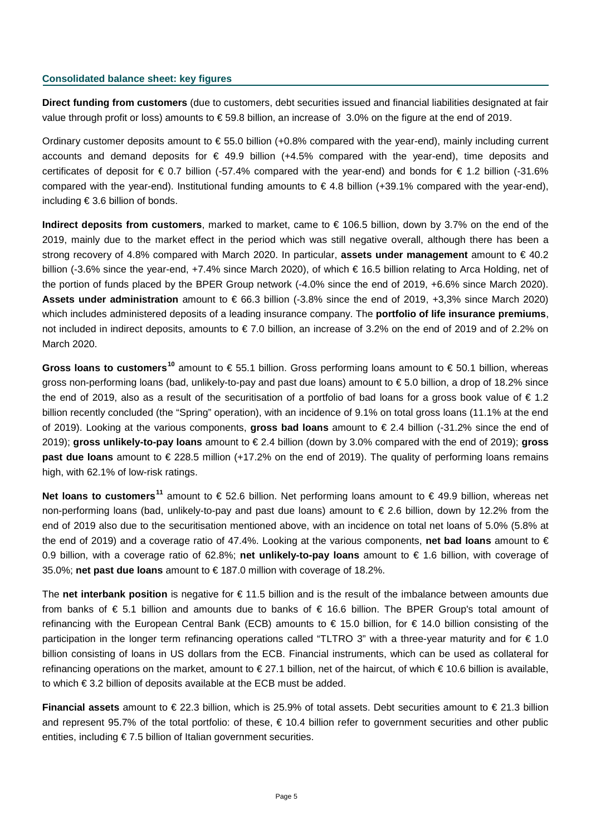#### **Consolidated balance sheet: key figures**

**Direct funding from customers** (due to customers, debt securities issued and financial liabilities designated at fair value through profit or loss) amounts to € 59.8 billion, an increase of 3.0% on the figure at the end of 2019.

Ordinary customer deposits amount to € 55.0 billion (+0.8% compared with the year-end), mainly including current accounts and demand deposits for  $\epsilon$  49.9 billion (+4.5% compared with the year-end), time deposits and certificates of deposit for € 0.7 billion (-57.4% compared with the year-end) and bonds for € 1.2 billion (-31.6% compared with the year-end). Institutional funding amounts to  $\epsilon$  4.8 billion (+39.1% compared with the year-end), including € 3.6 billion of bonds.

**Indirect deposits from customers**, marked to market, came to € 106.5 billion, down by 3.7% on the end of the 2019, mainly due to the market effect in the period which was still negative overall, although there has been a strong recovery of 4.8% compared with March 2020. In particular, **assets under management** amount to € 40.2 billion (-3.6% since the year-end, +7.4% since March 2020), of which € 16.5 billion relating to Arca Holding, net of the portion of funds placed by the BPER Group network (-4.0% since the end of 2019, +6.6% since March 2020). **Assets under administration** amount to € 66.3 billion (-3.8% since the end of 2019, +3,3% since March 2020) which includes administered deposits of a leading insurance company. The **portfolio of life insurance premiums**, not included in indirect deposits, amounts to € 7.0 billion, an increase of 3.2% on the end of 2019 and of 2.2% on March 2020.

**Gross loans to customers[10](#page-10-9)** amount to € 55.1 billion. Gross performing loans amount to € 50.1 billion, whereas gross non-performing loans (bad, unlikely-to-pay and past due loans) amount to € 5.0 billion, a drop of 18.2% since the end of 2019, also as a result of the securitisation of a portfolio of bad loans for a gross book value of  $\epsilon$  1.2 billion recently concluded (the "Spring" operation), with an incidence of 9.1% on total gross loans (11.1% at the end of 2019). Looking at the various components, **gross bad loans** amount to € 2.4 billion (-31.2% since the end of 2019); **gross unlikely-to-pay loans** amount to € 2.4 billion (down by 3.0% compared with the end of 2019); **gross past due loans** amount to € 228.5 million (+17.2% on the end of 2019). The quality of performing loans remains high, with 62.1% of low-risk ratings.

**Net loans to customers[11](#page-10-10)** amount to € 52.6 billion. Net performing loans amount to € 49.9 billion, whereas net non-performing loans (bad, unlikely-to-pay and past due loans) amount to € 2.6 billion, down by 12.2% from the end of 2019 also due to the securitisation mentioned above, with an incidence on total net loans of 5.0% (5.8% at the end of 2019) and a coverage ratio of 47.4%. Looking at the various components, **net bad loans** amount to € 0.9 billion, with a coverage ratio of 62.8%; **net unlikely-to-pay loans** amount to € 1.6 billion, with coverage of 35.0%; **net past due loans** amount to € 187.0 million with coverage of 18.2%.

The **net interbank position** is negative for € 11.5 billion and is the result of the imbalance between amounts due from banks of € 5.1 billion and amounts due to banks of € 16.6 billion. The BPER Group's total amount of refinancing with the European Central Bank (ECB) amounts to € 15.0 billion, for € 14.0 billion consisting of the participation in the longer term refinancing operations called "TLTRO 3" with a three-year maturity and for  $\epsilon$  1.0 billion consisting of loans in US dollars from the ECB. Financial instruments, which can be used as collateral for refinancing operations on the market, amount to € 27.1 billion, net of the haircut, of which € 10.6 billion is available, to which € 3.2 billion of deposits available at the ECB must be added.

**Financial assets** amount to € 22.3 billion, which is 25.9% of total assets. Debt securities amount to € 21.3 billion and represent 95.7% of the total portfolio: of these,  $\epsilon$  10.4 billion refer to government securities and other public entities, including € 7.5 billion of Italian government securities.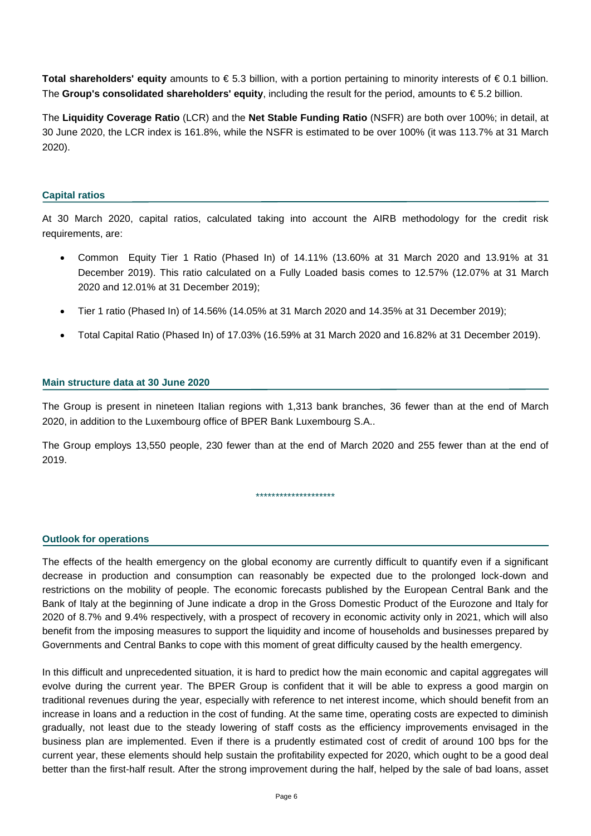**Total shareholders' equity** amounts to € 5.3 billion, with a portion pertaining to minority interests of € 0.1 billion. The **Group's consolidated shareholders' equity**, including the result for the period, amounts to € 5.2 billion.

The **Liquidity Coverage Ratio** (LCR) and the **Net Stable Funding Ratio** (NSFR) are both over 100%; in detail, at 30 June 2020, the LCR index is 161.8%, while the NSFR is estimated to be over 100% (it was 113.7% at 31 March 2020).

#### **Capital ratios**

At 30 March 2020, capital ratios, calculated taking into account the AIRB methodology for the credit risk requirements, are:

- Common Equity Tier 1 Ratio (Phased In) of 14.11% (13.60% at 31 March 2020 and 13.91% at 31 December 2019). This ratio calculated on a Fully Loaded basis comes to 12.57% (12.07% at 31 March 2020 and 12.01% at 31 December 2019);
- Tier 1 ratio (Phased In) of 14.56% (14.05% at 31 March 2020 and 14.35% at 31 December 2019);
- Total Capital Ratio (Phased In) of 17.03% (16.59% at 31 March 2020 and 16.82% at 31 December 2019).

#### **Main structure data at 30 June 2020**

The Group is present in nineteen Italian regions with 1,313 bank branches, 36 fewer than at the end of March 2020, in addition to the Luxembourg office of BPER Bank Luxembourg S.A..

The Group employs 13,550 people, 230 fewer than at the end of March 2020 and 255 fewer than at the end of 2019.

\*\*\*\*\*\*\*\*\*\*\*\*\*\*\*\*\*\*\*\*

#### **Outlook for operations**

The effects of the health emergency on the global economy are currently difficult to quantify even if a significant decrease in production and consumption can reasonably be expected due to the prolonged lock-down and restrictions on the mobility of people. The economic forecasts published by the European Central Bank and the Bank of Italy at the beginning of June indicate a drop in the Gross Domestic Product of the Eurozone and Italy for 2020 of 8.7% and 9.4% respectively, with a prospect of recovery in economic activity only in 2021, which will also benefit from the imposing measures to support the liquidity and income of households and businesses prepared by Governments and Central Banks to cope with this moment of great difficulty caused by the health emergency.

In this difficult and unprecedented situation, it is hard to predict how the main economic and capital aggregates will evolve during the current year. The BPER Group is confident that it will be able to express a good margin on traditional revenues during the year, especially with reference to net interest income, which should benefit from an increase in loans and a reduction in the cost of funding. At the same time, operating costs are expected to diminish gradually, not least due to the steady lowering of staff costs as the efficiency improvements envisaged in the business plan are implemented. Even if there is a prudently estimated cost of credit of around 100 bps for the current year, these elements should help sustain the profitability expected for 2020, which ought to be a good deal better than the first-half result. After the strong improvement during the half, helped by the sale of bad loans, asset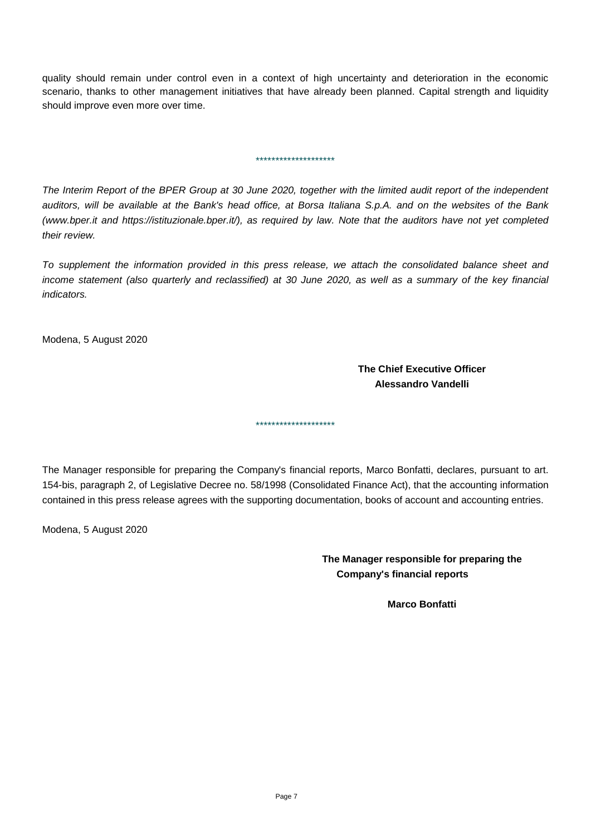quality should remain under control even in a context of high uncertainty and deterioration in the economic scenario, thanks to other management initiatives that have already been planned. Capital strength and liquidity should improve even more over time.

*The Interim Report of the BPER Group at 30 June 2020, together with the limited audit report of the independent auditors, will be available at the Bank's head office, at Borsa Italiana S.p.A. and on the websites of the Bank (www.bper.it and https://istituzionale.bper.it/), as required by law. Note that the auditors have not yet completed their review.*

\*\*\*\*\*\*\*\*\*\*\*\*\*\*\*\*\*\*\*\*

*To supplement the information provided in this press release, we attach the consolidated balance sheet and income statement (also quarterly and reclassified) at 30 June 2020, as well as a summary of the key financial indicators.*

Modena, 5 August 2020

**The Chief Executive Officer Alessandro Vandelli**

The Manager responsible for preparing the Company's financial reports, Marco Bonfatti, declares, pursuant to art. 154-bis, paragraph 2, of Legislative Decree no. 58/1998 (Consolidated Finance Act), that the accounting information contained in this press release agrees with the supporting documentation, books of account and accounting entries.

\*\*\*\*\*\*\*\*\*\*\*\*\*\*\*\*\*\*\*\*

Modena, 5 August 2020

**The Manager responsible for preparing the Company's financial reports** 

**Marco Bonfatti**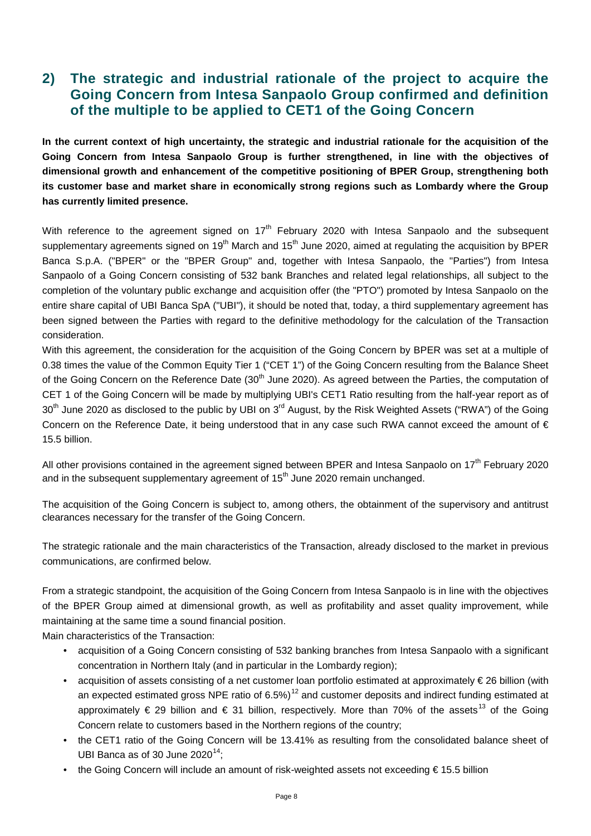### **2) The strategic and industrial rationale of the project to acquire the Going Concern from Intesa Sanpaolo Group confirmed and definition of the multiple to be applied to CET1 of the Going Concern**

**In the current context of high uncertainty, the strategic and industrial rationale for the acquisition of the Going Concern from Intesa Sanpaolo Group is further strengthened, in line with the objectives of dimensional growth and enhancement of the competitive positioning of BPER Group, strengthening both its customer base and market share in economically strong regions such as Lombardy where the Group has currently limited presence.**

With reference to the agreement signed on 17<sup>th</sup> February 2020 with Intesa Sanpaolo and the subsequent supplementary agreements signed on 19<sup>th</sup> March and 15<sup>th</sup> June 2020, aimed at regulating the acquisition by BPER Banca S.p.A. ("BPER" or the "BPER Group" and, together with Intesa Sanpaolo, the "Parties") from Intesa Sanpaolo of a Going Concern consisting of 532 bank Branches and related legal relationships, all subject to the completion of the voluntary public exchange and acquisition offer (the "PTO") promoted by Intesa Sanpaolo on the entire share capital of UBI Banca SpA ("UBI"), it should be noted that, today, a third supplementary agreement has been signed between the Parties with regard to the definitive methodology for the calculation of the Transaction consideration.

With this agreement, the consideration for the acquisition of the Going Concern by BPER was set at a multiple of 0.38 times the value of the Common Equity Tier 1 ("CET 1") of the Going Concern resulting from the Balance Sheet of the Going Concern on the Reference Date (30<sup>th</sup> June 2020). As agreed between the Parties, the computation of CET 1 of the Going Concern will be made by multiplying UBI's CET1 Ratio resulting from the half-year report as of 30<sup>th</sup> June 2020 as disclosed to the public by UBI on 3<sup>rd</sup> August, by the Risk Weighted Assets ("RWA") of the Going Concern on the Reference Date, it being understood that in any case such RWA cannot exceed the amount of  $\epsilon$ 15.5 billion.

All other provisions contained in the agreement signed between BPER and Intesa Sanpaolo on 17<sup>th</sup> February 2020 and in the subsequent supplementary agreement of 15<sup>th</sup> June 2020 remain unchanged.

The acquisition of the Going Concern is subject to, among others, the obtainment of the supervisory and antitrust clearances necessary for the transfer of the Going Concern.

The strategic rationale and the main characteristics of the Transaction, already disclosed to the market in previous communications, are confirmed below.

From a strategic standpoint, the acquisition of the Going Concern from Intesa Sanpaolo is in line with the objectives of the BPER Group aimed at dimensional growth, as well as profitability and asset quality improvement, while maintaining at the same time a sound financial position.

Main characteristics of the Transaction:

- acquisition of a Going Concern consisting of 532 banking branches from Intesa Sanpaolo with a significant concentration in Northern Italy (and in particular in the Lombardy region);
- acquisition of assets consisting of a net customer loan portfolio estimated at approximately € 26 billion (with an expected estimated gross NPE ratio of 6.5%)<sup>[12](#page-10-11)</sup> and customer deposits and indirect funding estimated at approximately  $\epsilon$  29 billion and  $\epsilon$  31 billion, respectively. More than 70% of the assets<sup>[13](#page-10-12)</sup> of the Going Concern relate to customers based in the Northern regions of the country;
- the CET1 ratio of the Going Concern will be 13.41% as resulting from the consolidated balance sheet of UBI Banca as of 30 June 2020 $14$ ;
- the Going Concern will include an amount of risk-weighted assets not exceeding € 15.5 billion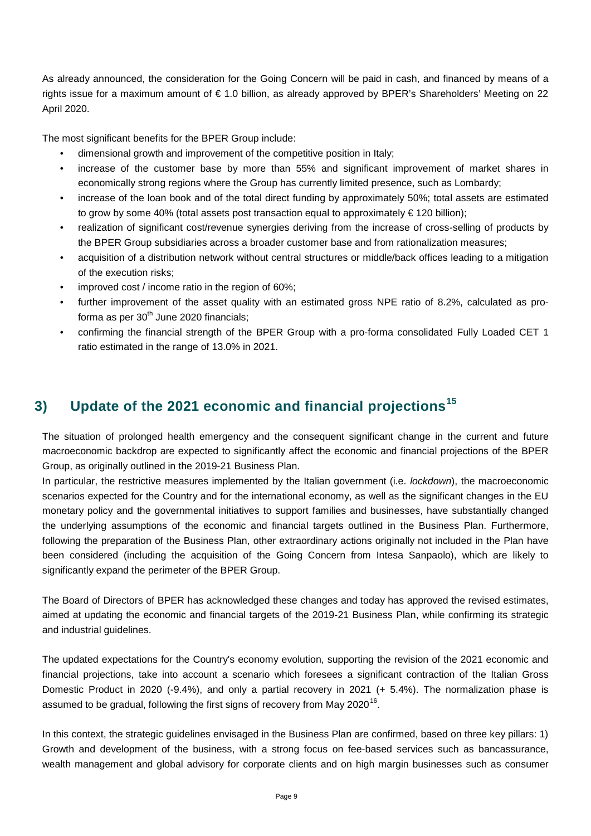As already announced, the consideration for the Going Concern will be paid in cash, and financed by means of a rights issue for a maximum amount of € 1.0 billion, as already approved by BPER's Shareholders' Meeting on 22 April 2020.

The most significant benefits for the BPER Group include:

- dimensional growth and improvement of the competitive position in Italy;
- increase of the customer base by more than 55% and significant improvement of market shares in economically strong regions where the Group has currently limited presence, such as Lombardy;
- increase of the loan book and of the total direct funding by approximately 50%; total assets are estimated to grow by some 40% (total assets post transaction equal to approximately € 120 billion);
- realization of significant cost/revenue synergies deriving from the increase of cross-selling of products by the BPER Group subsidiaries across a broader customer base and from rationalization measures;
- acquisition of a distribution network without central structures or middle/back offices leading to a mitigation of the execution risks;
- improved cost / income ratio in the region of 60%;
- further improvement of the asset quality with an estimated gross NPE ratio of 8.2%, calculated as proforma as per  $30<sup>th</sup>$  June 2020 financials;
- confirming the financial strength of the BPER Group with a pro-forma consolidated Fully Loaded CET 1 ratio estimated in the range of 13.0% in 2021.

## **3) Update of the 2021 economic and financial projections[15](#page-10-14)**

The situation of prolonged health emergency and the consequent significant change in the current and future macroeconomic backdrop are expected to significantly affect the economic and financial projections of the BPER Group, as originally outlined in the 2019-21 Business Plan.

In particular, the restrictive measures implemented by the Italian government (i.e. *lockdown*), the macroeconomic scenarios expected for the Country and for the international economy, as well as the significant changes in the EU monetary policy and the governmental initiatives to support families and businesses, have substantially changed the underlying assumptions of the economic and financial targets outlined in the Business Plan. Furthermore, following the preparation of the Business Plan, other extraordinary actions originally not included in the Plan have been considered (including the acquisition of the Going Concern from Intesa Sanpaolo), which are likely to significantly expand the perimeter of the BPER Group.

The Board of Directors of BPER has acknowledged these changes and today has approved the revised estimates, aimed at updating the economic and financial targets of the 2019-21 Business Plan, while confirming its strategic and industrial guidelines.

The updated expectations for the Country's economy evolution, supporting the revision of the 2021 economic and financial projections, take into account a scenario which foresees a significant contraction of the Italian Gross Domestic Product in 2020 (-9.4%), and only a partial recovery in 2021 (+ 5.4%). The normalization phase is assumed to be gradual, following the first signs of recovery from May 2020<sup>[16](#page-10-15)</sup>.

In this context, the strategic guidelines envisaged in the Business Plan are confirmed, based on three key pillars: 1) Growth and development of the business, with a strong focus on fee-based services such as bancassurance, wealth management and global advisory for corporate clients and on high margin businesses such as consumer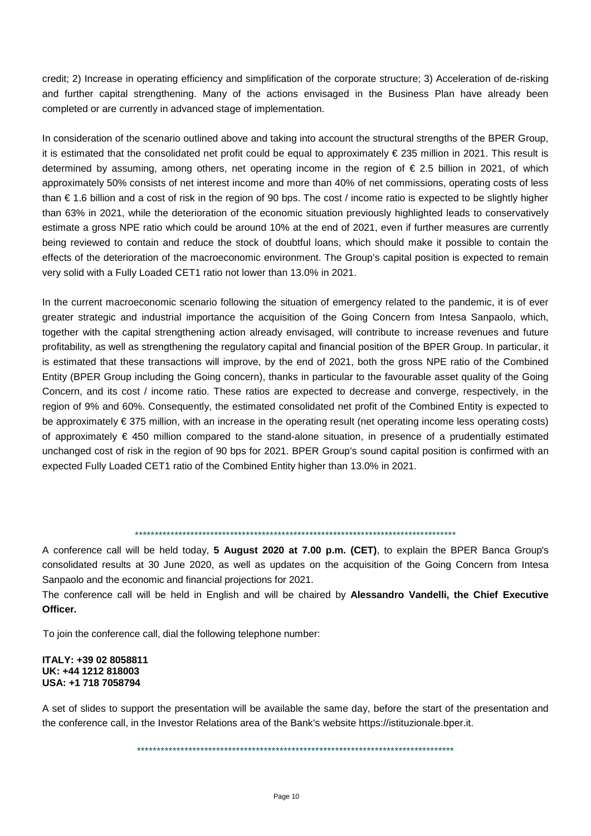credit; 2) Increase in operating efficiency and simplification of the corporate structure; 3) Acceleration of de-risking and further capital strengthening. Many of the actions envisaged in the Business Plan have already been completed or are currently in advanced stage of implementation.

In consideration of the scenario outlined above and taking into account the structural strengths of the BPER Group, it is estimated that the consolidated net profit could be equal to approximately  $\epsilon$  235 million in 2021. This result is determined by assuming, among others, net operating income in the region of € 2.5 billion in 2021, of which approximately 50% consists of net interest income and more than 40% of net commissions, operating costs of less than € 1.6 billion and a cost of risk in the region of 90 bps. The cost / income ratio is expected to be slightly higher than 63% in 2021, while the deterioration of the economic situation previously highlighted leads to conservatively estimate a gross NPE ratio which could be around 10% at the end of 2021, even if further measures are currently being reviewed to contain and reduce the stock of doubtful loans, which should make it possible to contain the effects of the deterioration of the macroeconomic environment. The Group's capital position is expected to remain very solid with a Fully Loaded CET1 ratio not lower than 13.0% in 2021.

In the current macroeconomic scenario following the situation of emergency related to the pandemic, it is of ever greater strategic and industrial importance the acquisition of the Going Concern from Intesa Sanpaolo, which, together with the capital strengthening action already envisaged, will contribute to increase revenues and future profitability, as well as strengthening the regulatory capital and financial position of the BPER Group. In particular, it is estimated that these transactions will improve, by the end of 2021, both the gross NPE ratio of the Combined Entity (BPER Group including the Going concern), thanks in particular to the favourable asset quality of the Going Concern, and its cost / income ratio. These ratios are expected to decrease and converge, respectively, in the region of 9% and 60%. Consequently, the estimated consolidated net profit of the Combined Entity is expected to be approximately € 375 million, with an increase in the operating result (net operating income less operating costs) of approximately € 450 million compared to the stand-alone situation, in presence of a prudentially estimated unchanged cost of risk in the region of 90 bps for 2021. BPER Group's sound capital position is confirmed with an expected Fully Loaded CET1 ratio of the Combined Entity higher than 13.0% in 2021.

#### \*\*\*\*\*\*\*\*\*\*\*\*\*\*\*\*\*\*\*\*\*\*\*\*\*\*\*\*\*\*\*\*\*\*\*\*\*\*\*\*\*\*\*\*\*\*\*\*\*\*\*\*\*\*\*\*\*\*\*\*\*\*\*\*\*\*\*\*\*\*\*\*\*\*\*\*\*\*\*\*\*

A conference call will be held today, **5 August 2020 at 7.00 p.m. (CET)**, to explain the BPER Banca Group's consolidated results at 30 June 2020, as well as updates on the acquisition of the Going Concern from Intesa Sanpaolo and the economic and financial projections for 2021.

The conference call will be held in English and will be chaired by **Alessandro Vandelli, the Chief Executive Officer.**

To join the conference call, dial the following telephone number:

#### **ITALY: +39 02 8058811 UK: +44 1212 818003 USA: +1 718 7058794**

A set of slides to support the presentation will be available the same day, before the start of the presentation and the conference call, in the Investor Relations area of the Bank's website https://istituzionale.bper.it.

\*\*\*\*\*\*\*\*\*\*\*\*\*\*\*\*\*\*\*\*\*\*\*\*\*\*\*\*\*\*\*\*\*\*\*\*\*\*\*\*\*\*\*\*\*\*\*\*\*\*\*\*\*\*\*\*\*\*\*\*\*\*\*\*\*\*\*\*\*\*\*\*\*\*\*\*\*\*\*\*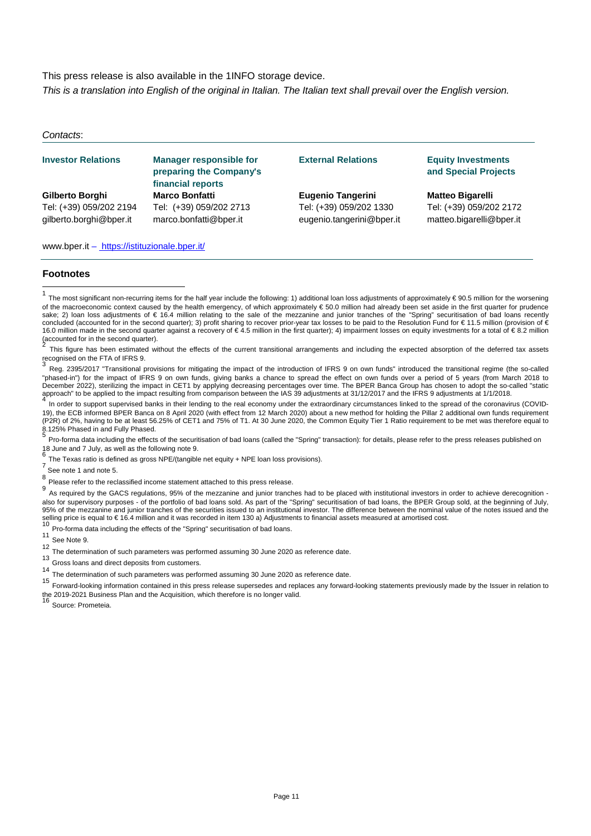This press release is also available in the 1INFO storage device.

*This is a translation into English of the original in Italian. The Italian text shall prevail over the English version.*

#### *Contacts*:

#### **Investor Relations Manager responsible for preparing the Company's financial reports External Relations Equity Investments Gilberto Borghi Marco Bonfatti Eugenio Tangerini Matteo Bigarelli** Tel: (+39) 059/202 2194 Tel: (+39) 059/202 2713 Tel: (+39) 059/202 1330 Tel: (+39) 059/202 2172 gilberto.borghi@bper.it marco.bonfatti@bper.it eugenio.tangerini@bper.it matteo.bigarelli@bper.it

www.bper.it – https://istituzionale.bper.it/

#### **Footnotes**

<span id="page-10-2"></span>This figure has been estimated without the effects of the current transitional arrangements and including the expected absorption of the deferred tax assets recognised on the FTA of IFRS 9.

<span id="page-10-3"></span>Reg. 2395/2017 "Transitional provisions for mitigating the impact of the introduction of IFRS 9 on own funds" introduced the transitional regime (the so-called "phased-in") for the impact of IFRS 9 on own funds, giving banks a chance to spread the effect on own funds over a period of 5 years (from March 2018 to December 2022), sterilizing the impact in CET1 by applying decreasing percentages over time. The BPER Banca Group has chosen to adopt the so-called "static approach" to be applied to the impact resulting from comparison between the IAS 39 adjustments at 31/12/2017 and the IFRS 9 adjustments at 1/1/2018.

<span id="page-10-5"></span><span id="page-10-4"></span>In order to support supervised banks in their lending to the real economy under the extraordinary circumstances linked to the spread of the coronavirus (COVID-19), the ECB informed BPER Banca on 8 April 2020 (with effect from 12 March 2020) about a new method for holding the Pillar 2 additional own funds requirement (P2R) of 2%, having to be at least 56.25% of CET1 and 75% of T1. At 30 June 2020, the Common Equity Tier 1 Ratio requirement to be met was therefore equal to 8.125% Phased in and Fully Phased.

<span id="page-10-7"></span><span id="page-10-6"></span><sup>5</sup> Pro-forma data including the effects of the securitisation of bad loans (called the "Spring" transaction): for details, please refer to the press releases published on 18 June and 7 July, as well as the following note

<span id="page-10-8"></span>The Texas ratio is defined as gross NPE/(tangible net equity + NPE loan loss provisions).<br>  $\frac{7}{8}$  See note 1 and note 5.<br>  $\frac{8}{9}$  Please refer to the reclassified income statement attached to this press release.

<span id="page-10-11"></span><span id="page-10-10"></span><span id="page-10-9"></span>As required by the GACS regulations, 95% of the mezzanine and junior tranches had to be placed with institutional investors in order to achieve derecognition also for supervisory purposes - of the portfolio of bad loans sold. As part of the "Spring" securitisation of bad loans, the BPER Group sold, at the beginning of July, 95% of the mezzanine and junior tranches of the securities issued to an institutional investor. The difference between the nominal value of the notes issued and the selling price is equal to €16.4 million and it was recorded in item 130 a) Adjustments to financial assets measured at amortised cost.<br><sup>10</sup> Pro-forma data including the effects of the "Spring" securitisation of bad loans.

<span id="page-10-13"></span><span id="page-10-12"></span>

See Note 9.

- <span id="page-10-14"></span>12 The determination of such parameters was performed assuming 30 June 2020 as reference date.
- 13 Gross loans and direct deposits from customers.
- <span id="page-10-15"></span><sup>14</sup> The determination of such parameters was performed assuming 30 June 2020 as reference date.

<sup>15</sup> Forward-looking information contained in this press release supersedes and replaces any forward-looking statements previously made by the Issuer in relation to the 2019-2021 Business Plan and the Acquisition, which therefore is no longer valid.<br><sup>16</sup> Source: Prometeia.

# **and Special Projects**

<span id="page-10-1"></span><span id="page-10-0"></span> $\overline{1}$ The most significant non-recurring items for the half year include the following: 1) additional loan loss adjustments of approximately € 90.5 million for the worsening of the macroeconomic context caused by the health emergency, of which approximately € 50.0 million had already been set aside in the first quarter for prudence sake; 2) loan loss adjustments of € 16.4 million relating to the sale of the mezzanine and junior tranches of the "Spring" securitisation of bad loans recently concluded (accounted for in the second quarter); 3) profit sharing to recover prior-year tax losses to be paid to the Resolution Fund for €11.5 million (provision of € 16.0 million made in the second quarter against a recovery of € 4.5 million in the first quarter); 4) impairment losses on equity investments for a total of € 8.2 million (accounted for in the second quarter).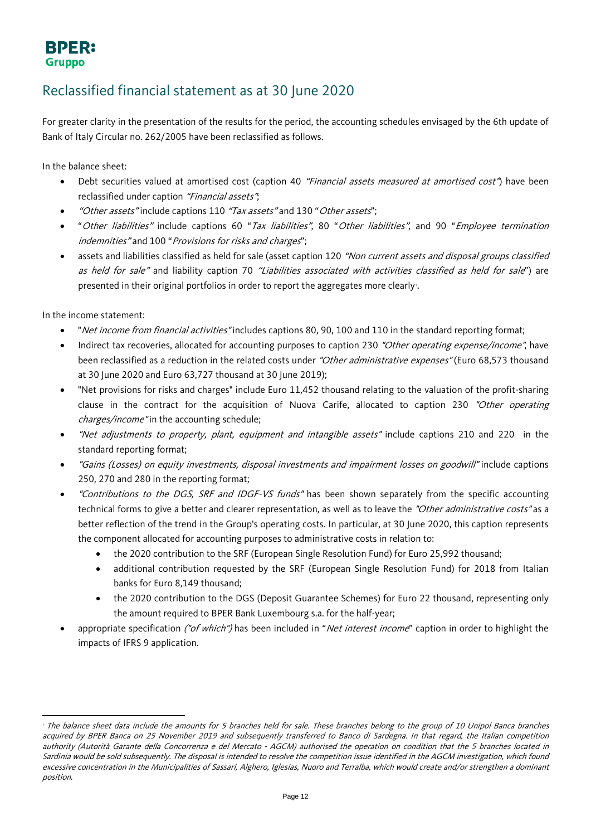### **BPER: Gruppo**

## Reclassified financial statement as at 30 June 2020

For greater clarity in the presentation of the results for the period, the accounting schedules envisaged by the 6th update of Bank of Italy Circular no. 262/2005 have been reclassified as follows.

In the balance sheet:

- Debt securities valued at amortised cost (caption 40 "Financial assets measured at amortised cost") have been reclassified under caption "Financial assets";
- "Other assets" include captions 110 "Tax assets" and 130 " Other assets";
- "Other liabilities" include captions 60 "Tax liabilities", 80 "Other liabilities", and 90 "Employee termination indemnities" and 100 "Provisions for risks and charges";
- assets and liabilities classified as held for sale (asset caption 120 "Non current assets and disposal groups classified as held for sale" and liability caption 70 "Liabilities associated with activities classified as held for sale") are presented in their original portfolios in order to report the aggregates more clearly.

In the income statement:

 $\overline{a}$ 

- "Net income from financial activities" includes captions 80, 90, 100 and 110 in the standard reporting format;
- Indirect tax recoveries, allocated for accounting purposes to caption 230 "Other operating expense/income", have been reclassified as a reduction in the related costs under "Other administrative expenses" (Euro 68,573 thousand at 30 June 2020 and Euro 63,727 thousand at 30 June 2019);
- "Net provisions for risks and charges" include Euro 11,452 thousand relating to the valuation of the profit-sharing clause in the contract for the acquisition of Nuova Carife, allocated to caption 230 "Other operating charges/income" in the accounting schedule;
- "Net adjustments to property, plant, equipment and intangible assets" include captions 210 and 220 in the standard reporting format;
- "Gains (Losses) on equity investments, disposal investments and impairment losses on goodwill" include captions 250, 270 and 280 in the reporting format;
- "Contributions to the DGS, SRF and IDGF-VS funds" has been shown separately from the specific accounting technical forms to give a better and clearer representation, as well as to leave the "Other administrative costs" as a better reflection of the trend in the Group's operating costs. In particular, at 30 June 2020, this caption represents the component allocated for accounting purposes to administrative costs in relation to:
	- the 2020 contribution to the SRF (European Single Resolution Fund) for Euro 25,992 thousand;
	- additional contribution requested by the SRF (European Single Resolution Fund) for 2018 from Italian banks for Euro 8,149 thousand;
	- the 2020 contribution to the DGS (Deposit Guarantee Schemes) for Euro 22 thousand, representing only the amount required to BPER Bank Luxembourg s.a. for the half-year;
- <span id="page-11-0"></span>appropriate specification ("of which") has been included in "Net interest income" caption in order to highlight the impacts of IFRS 9 application.

<sup>&</sup>lt;sup>1</sup> The balance sheet data include the amounts for 5 branches held for sale. These branches belong to the group of 10 Unipol Banca branches acquired by BPER Banca on 25 November 2019 and subsequently transferred to Banco di Sardegna. In that regard, the Italian competition authority (Autorità Garante della Concorrenza e del Mercato - AGCM) authorised the operation on condition that the 5 branches located in Sardinia would be sold subsequently. The disposal is intended to resolve the competition issue identified in the AGCM investigation, which found excessive concentration in the Municipalities of Sassari, Alghero, Iglesias, Nuoro and Terralba, which would create and/or strengthen a dominant position.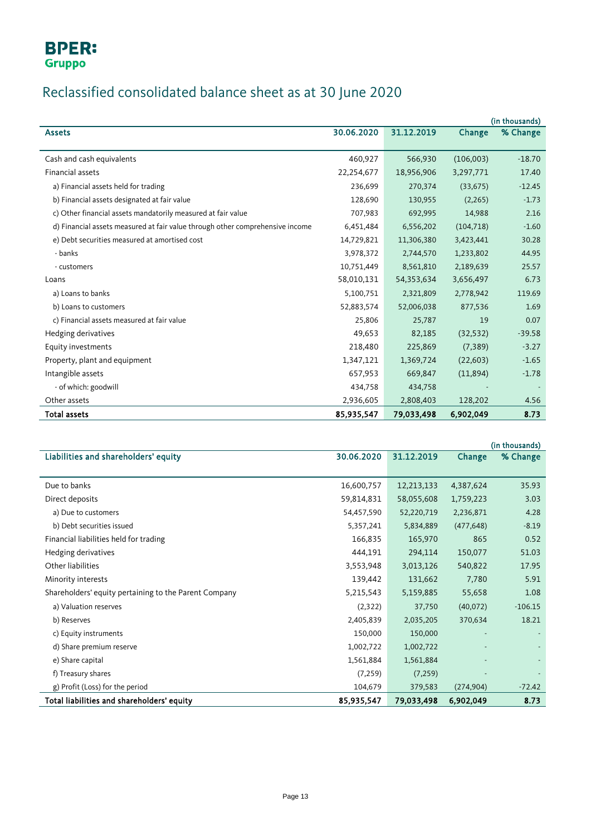## **BPER:** Gruppo

# Reclassified consolidated balance sheet as at 30 June 2020

|                                                                               |            |            |            | (in thousands) |
|-------------------------------------------------------------------------------|------------|------------|------------|----------------|
| <b>Assets</b>                                                                 | 30.06.2020 | 31.12.2019 | Change     | % Change       |
|                                                                               |            |            |            |                |
| Cash and cash equivalents                                                     | 460,927    | 566,930    | (106,003)  | $-18.70$       |
| Financial assets                                                              | 22,254,677 | 18,956,906 | 3,297,771  | 17.40          |
| a) Financial assets held for trading                                          | 236,699    | 270,374    | (33, 675)  | $-12.45$       |
| b) Financial assets designated at fair value                                  | 128,690    | 130,955    | (2, 265)   | $-1.73$        |
| c) Other financial assets mandatorily measured at fair value                  | 707,983    | 692,995    | 14,988     | 2.16           |
| d) Financial assets measured at fair value through other comprehensive income | 6,451,484  | 6,556,202  | (104, 718) | $-1.60$        |
| e) Debt securities measured at amortised cost                                 | 14,729,821 | 11,306,380 | 3,423,441  | 30.28          |
| - banks                                                                       | 3,978,372  | 2,744,570  | 1,233,802  | 44.95          |
| - customers                                                                   | 10,751,449 | 8,561,810  | 2,189,639  | 25.57          |
| Loans                                                                         | 58,010,131 | 54,353,634 | 3,656,497  | 6.73           |
| a) Loans to banks                                                             | 5,100,751  | 2,321,809  | 2,778,942  | 119.69         |
| b) Loans to customers                                                         | 52,883,574 | 52,006,038 | 877,536    | 1.69           |
| c) Financial assets measured at fair value                                    | 25,806     | 25,787     | 19         | 0.07           |
| Hedging derivatives                                                           | 49,653     | 82,185     | (32, 532)  | $-39.58$       |
| Equity investments                                                            | 218,480    | 225,869    | (7, 389)   | $-3.27$        |
| Property, plant and equipment                                                 | 1,347,121  | 1,369,724  | (22, 603)  | $-1.65$        |
| Intangible assets                                                             | 657,953    | 669,847    | (11,894)   | $-1.78$        |
| - of which: goodwill                                                          | 434,758    | 434,758    |            |                |
| Other assets                                                                  | 2,936,605  | 2,808,403  | 128,202    | 4.56           |
| <b>Total assets</b>                                                           | 85,935,547 | 79,033,498 | 6,902,049  | 8.73           |

<span id="page-12-0"></span>

|                                                       |            |            |            | (in thousands) |
|-------------------------------------------------------|------------|------------|------------|----------------|
| Liabilities and shareholders' equity                  | 30.06.2020 | 31.12.2019 | Change     | % Change       |
|                                                       |            |            |            |                |
| Due to banks                                          | 16,600,757 | 12,213,133 | 4,387,624  | 35.93          |
| Direct deposits                                       | 59,814,831 | 58,055,608 | 1,759,223  | 3.03           |
| a) Due to customers                                   | 54,457,590 | 52,220,719 | 2,236,871  | 4.28           |
| b) Debt securities issued                             | 5,357,241  | 5,834,889  | (477, 648) | $-8.19$        |
| Financial liabilities held for trading                | 166,835    | 165,970    | 865        | 0.52           |
| Hedging derivatives                                   | 444,191    | 294,114    | 150,077    | 51.03          |
| Other liabilities                                     | 3,553,948  | 3,013,126  | 540,822    | 17.95          |
| Minority interests                                    | 139,442    | 131,662    | 7,780      | 5.91           |
| Shareholders' equity pertaining to the Parent Company | 5,215,543  | 5,159,885  | 55,658     | 1.08           |
| a) Valuation reserves                                 | (2,322)    | 37,750     | (40,072)   | $-106.15$      |
| b) Reserves                                           | 2,405,839  | 2,035,205  | 370,634    | 18.21          |
| c) Equity instruments                                 | 150,000    | 150,000    |            |                |
| d) Share premium reserve                              | 1,002,722  | 1,002,722  |            |                |
| e) Share capital                                      | 1,561,884  | 1,561,884  |            |                |
| f) Treasury shares                                    | (7, 259)   | (7, 259)   |            |                |
| g) Profit (Loss) for the period                       | 104,679    | 379,583    | (274, 904) | $-72.42$       |
| Total liabilities and shareholders' equity            | 85,935,547 | 79,033,498 | 6,902,049  | 8.73           |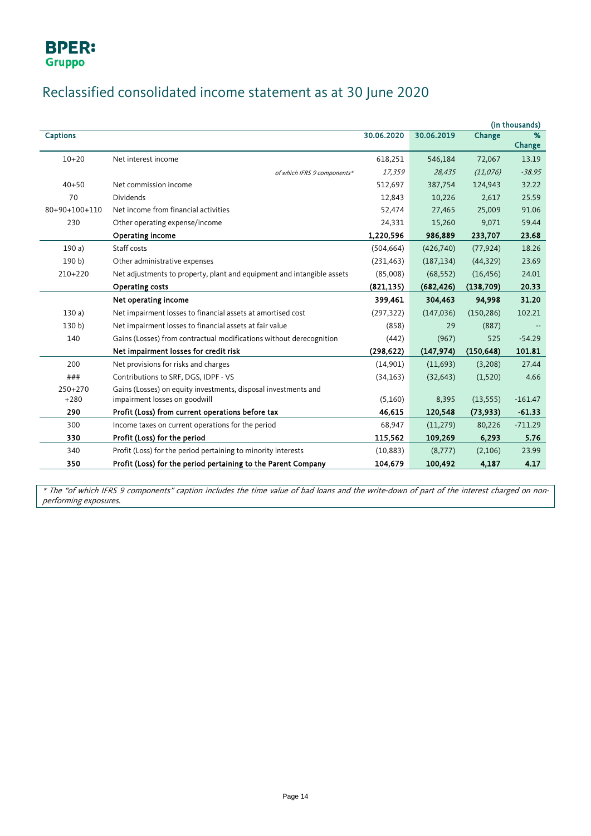# Reclassified consolidated income statement as at 30 June 2020

|                 |                                                                        |            |            |            | (in thousands) |
|-----------------|------------------------------------------------------------------------|------------|------------|------------|----------------|
| <b>Captions</b> |                                                                        | 30.06.2020 | 30.06.2019 | Change     | %              |
|                 |                                                                        |            |            |            | Change         |
| $10 + 20$       | Net interest income                                                    | 618,251    | 546,184    | 72,067     | 13.19          |
|                 | of which IFRS 9 components*                                            | 17,359     | 28,435     | (11, 076)  | $-38.95$       |
| $40 + 50$       | Net commission income                                                  | 512,697    | 387,754    | 124,943    | 32.22          |
| 70              | <b>Dividends</b>                                                       | 12,843     | 10,226     | 2,617      | 25.59          |
| 80+90+100+110   | Net income from financial activities                                   | 52,474     | 27,465     | 25,009     | 91.06          |
| 230             | Other operating expense/income                                         | 24,331     | 15,260     | 9,071      | 59.44          |
|                 | Operating income                                                       | 1,220,596  | 986,889    | 233,707    | 23.68          |
| 190a)           | Staff costs                                                            | (504, 664) | (426,740)  | (77, 924)  | 18.26          |
| 190 b)          | Other administrative expenses                                          | (231, 463) | (187, 134) | (44, 329)  | 23.69          |
| 210+220         | Net adjustments to property, plant and equipment and intangible assets | (85,008)   | (68, 552)  | (16, 456)  | 24.01          |
|                 | <b>Operating costs</b>                                                 | (821, 135) | (682, 426) | (138, 709) | 20.33          |
|                 | Net operating income                                                   | 399,461    | 304,463    | 94,998     | 31.20          |
| 130a)           | Net impairment losses to financial assets at amortised cost            | (297, 322) | (147, 036) | (150, 286) | 102.21         |
| 130 b)          | Net impairment losses to financial assets at fair value                | (858)      | 29         | (887)      |                |
| 140             | Gains (Losses) from contractual modifications without derecognition    | (442)      | (967)      | 525        | $-54.29$       |
|                 | Net impairment losses for credit risk                                  | (298, 622) | (147, 974) | (150, 648) | 101.81         |
| 200             | Net provisions for risks and charges                                   | (14,901)   | (11,693)   | (3,208)    | 27.44          |
| ###             | Contributions to SRF, DGS, IDPF - VS                                   | (34, 163)  | (32, 643)  | (1,520)    | 4.66           |
| 250+270         | Gains (Losses) on equity investments, disposal investments and         |            |            |            |                |
| $+280$          | impairment losses on goodwill                                          | (5,160)    | 8,395      | (13, 555)  | $-161.47$      |
| 290             | Profit (Loss) from current operations before tax                       | 46,615     | 120,548    | (73, 933)  | $-61.33$       |
| 300             | Income taxes on current operations for the period                      | 68,947     | (11, 279)  | 80,226     | $-711.29$      |
| 330             | Profit (Loss) for the period                                           | 115,562    | 109,269    | 6,293      | 5.76           |
| 340             | Profit (Loss) for the period pertaining to minority interests          | (10, 883)  | (8,777)    | (2,106)    | 23.99          |
| 350             | Profit (Loss) for the period pertaining to the Parent Company          | 104,679    | 100,492    | 4,187      | 4.17           |

\* The "of which IFRS 9 components" caption includes the time value of bad loans and the write-down of part of the interest charged on nonperforming exposures.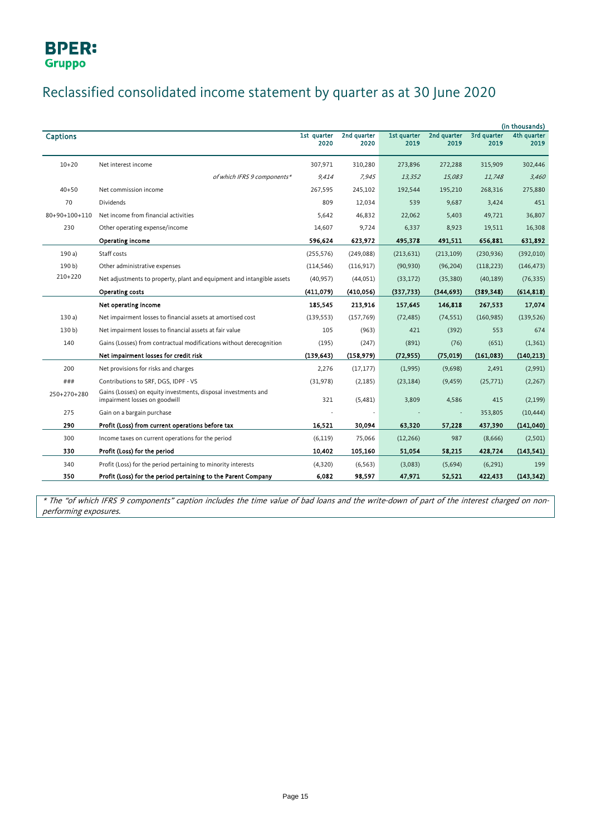## Reclassified consolidated income statement by quarter as at 30 June 2020

|                 |                                                                                                 |                     |                     |                     |                     |                     | (in thousands)      |
|-----------------|-------------------------------------------------------------------------------------------------|---------------------|---------------------|---------------------|---------------------|---------------------|---------------------|
| <b>Captions</b> |                                                                                                 | 1st quarter<br>2020 | 2nd quarter<br>2020 | 1st quarter<br>2019 | 2nd quarter<br>2019 | 3rd quarter<br>2019 | 4th quarter<br>2019 |
|                 |                                                                                                 |                     |                     |                     |                     |                     |                     |
| $10 + 20$       | Net interest income                                                                             | 307,971             | 310,280             | 273,896             | 272,288             | 315,909             | 302,446             |
|                 | of which IFRS 9 components*                                                                     | 9.414               | 7.945               | 13,352              | 15,083              | 11,748              | 3,460               |
| $40 + 50$       | Net commission income                                                                           | 267,595             | 245,102             | 192,544             | 195,210             | 268,316             | 275,880             |
| 70              | Dividends                                                                                       | 809                 | 12,034              | 539                 | 9,687               | 3,424               | 451                 |
| 80+90+100+110   | Net income from financial activities                                                            | 5.642               | 46,832              | 22,062              | 5,403               | 49,721              | 36,807              |
| 230             | Other operating expense/income                                                                  | 14,607              | 9,724               | 6,337               | 8,923               | 19,511              | 16,308              |
|                 | Operating income                                                                                | 596,624             | 623,972             | 495,378             | 491,511             | 656,881             | 631,892             |
| 190a)           | Staff costs                                                                                     | (255, 576)          | (249, 088)          | (213, 631)          | (213, 109)          | (230, 936)          | (392, 010)          |
| 190 b)          | Other administrative expenses                                                                   | (114, 546)          | (116, 917)          | (90, 930)           | (96, 204)           | (118, 223)          | (146, 473)          |
| $210+220$       | Net adjustments to property, plant and equipment and intangible assets                          | (40, 957)           | (44, 051)           | (33, 172)           | (35, 380)           | (40, 189)           | (76, 335)           |
|                 | <b>Operating costs</b>                                                                          | (411,079)           | (410, 056)          | (337, 733)          | (344, 693)          | (389, 348)          | (614, 818)          |
|                 | Net operating income                                                                            | 185,545             | 213,916             | 157,645             | 146,818             | 267,533             | 17,074              |
| 130a            | Net impairment losses to financial assets at amortised cost                                     | (139, 553)          | (157, 769)          | (72, 485)           | (74, 551)           | (160, 985)          | (139, 526)          |
| 130 b)          | Net impairment losses to financial assets at fair value                                         | 105                 | (963)               | 421                 | (392)               | 553                 | 674                 |
| 140             | Gains (Losses) from contractual modifications without derecognition                             | (195)               | (247)               | (891)               | (76)                | (651)               | (1, 361)            |
|                 | Net impairment losses for credit risk                                                           | (139, 643)          | (158, 979)          | (72, 955)           | (75, 019)           | (161,083)           | (140, 213)          |
| 200             | Net provisions for risks and charges                                                            | 2,276               | (17, 177)           | (1,995)             | (9,698)             | 2,491               | (2,991)             |
| ###             | Contributions to SRF, DGS, IDPF - VS                                                            | (31, 978)           | (2, 185)            | (23, 184)           | (9, 459)            | (25, 771)           | (2, 267)            |
| 250+270+280     | Gains (Losses) on equity investments, disposal investments and<br>impairment losses on goodwill | 321                 | (5,481)             | 3,809               | 4,586               | 415                 | (2, 199)            |
| 275             | Gain on a bargain purchase                                                                      |                     |                     |                     |                     | 353,805             | (10, 444)           |
| 290             | Profit (Loss) from current operations before tax                                                | 16,521              | 30,094              | 63,320              | 57,228              | 437,390             | (141, 040)          |
| 300             | Income taxes on current operations for the period                                               | (6, 119)            | 75,066              | (12, 266)           | 987                 | (8,666)             | (2,501)             |
| 330             | Profit (Loss) for the period                                                                    | 10,402              | 105,160             | 51,054              | 58,215              | 428,724             | (143, 541)          |
| 340             | Profit (Loss) for the period pertaining to minority interests                                   | (4,320)             | (6, 563)            | (3,083)             | (5,694)             | (6, 291)            | 199                 |
| 350             | Profit (Loss) for the period pertaining to the Parent Company                                   | 6,082               | 98,597              | 47,971              | 52,521              | 422,433             | (143, 342)          |

\* The "of which IFRS 9 components" caption includes the time value of bad loans and the write-down of part of the interest charged on nonperforming exposures.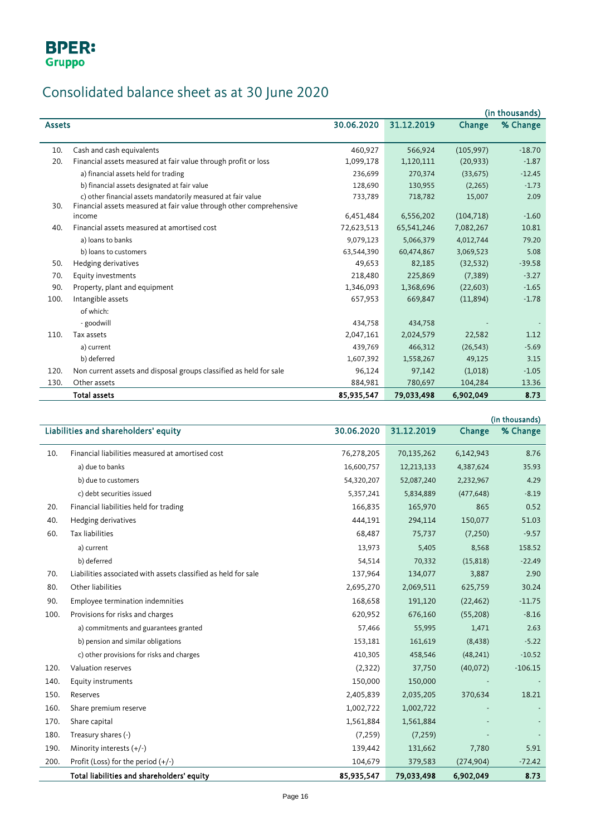# Consolidated balance sheet as at 30 June 2020

|               |                                                                     |            |            |            | (in thousands) |
|---------------|---------------------------------------------------------------------|------------|------------|------------|----------------|
| <b>Assets</b> |                                                                     | 30.06.2020 | 31.12.2019 | Change     | % Change       |
|               |                                                                     |            |            |            |                |
| 10.           | Cash and cash equivalents                                           | 460,927    | 566,924    | (105, 997) | $-18.70$       |
| 20.           | Financial assets measured at fair value through profit or loss      | 1,099,178  | 1,120,111  | (20, 933)  | $-1.87$        |
|               | a) financial assets held for trading                                | 236,699    | 270,374    | (33, 675)  | $-12.45$       |
|               | b) financial assets designated at fair value                        | 128,690    | 130,955    | (2, 265)   | $-1.73$        |
|               | c) other financial assets mandatorily measured at fair value        | 733,789    | 718,782    | 15,007     | 2.09           |
| 30.           | Financial assets measured at fair value through other comprehensive |            |            |            |                |
|               | income                                                              | 6,451,484  | 6,556,202  | (104, 718) | $-1.60$        |
| 40.           | Financial assets measured at amortised cost                         | 72,623,513 | 65,541,246 | 7,082,267  | 10.81          |
|               | a) loans to banks                                                   | 9,079,123  | 5,066,379  | 4,012,744  | 79.20          |
|               | b) loans to customers                                               | 63,544,390 | 60,474,867 | 3,069,523  | 5.08           |
| 50.           | Hedging derivatives                                                 | 49,653     | 82,185     | (32, 532)  | $-39.58$       |
| 70.           | Equity investments                                                  | 218,480    | 225,869    | (7, 389)   | $-3.27$        |
| 90.           | Property, plant and equipment                                       | 1,346,093  | 1,368,696  | (22, 603)  | $-1.65$        |
| 100.          | Intangible assets                                                   | 657,953    | 669,847    | (11,894)   | $-1.78$        |
|               | of which:                                                           |            |            |            |                |
|               | - goodwill                                                          | 434,758    | 434,758    |            |                |
| 110.          | Tax assets                                                          | 2,047,161  | 2,024,579  | 22,582     | 1.12           |
|               | a) current                                                          | 439,769    | 466,312    | (26, 543)  | $-5.69$        |
|               | b) deferred                                                         | 1,607,392  | 1,558,267  | 49,125     | 3.15           |
| 120.          | Non current assets and disposal groups classified as held for sale  | 96,124     | 97,142     | (1,018)    | $-1.05$        |
| 130.          | Other assets                                                        | 884,981    | 780,697    | 104,284    | 13.36          |
|               | <b>Total assets</b>                                                 | 85,935,547 | 79,033,498 | 6,902,049  | 8.73           |

|      |                                                                |            |            |            | (in thousands) |
|------|----------------------------------------------------------------|------------|------------|------------|----------------|
|      | Liabilities and shareholders' equity                           | 30.06.2020 | 31.12.2019 | Change     | % Change       |
| 10.  | Financial liabilities measured at amortised cost               | 76,278,205 | 70,135,262 | 6,142,943  | 8.76           |
|      | a) due to banks                                                | 16,600,757 | 12,213,133 | 4,387,624  | 35.93          |
|      | b) due to customers                                            | 54,320,207 | 52,087,240 | 2,232,967  | 4.29           |
|      | c) debt securities issued                                      | 5,357,241  | 5,834,889  | (477, 648) | $-8.19$        |
| 20.  | Financial liabilities held for trading                         | 166,835    | 165,970    | 865        | 0.52           |
| 40.  | Hedging derivatives                                            | 444,191    | 294,114    | 150,077    | 51.03          |
| 60.  | <b>Tax liabilities</b>                                         | 68,487     | 75,737     | (7,250)    | $-9.57$        |
|      | a) current                                                     | 13,973     | 5,405      | 8,568      | 158.52         |
|      | b) deferred                                                    | 54,514     | 70,332     | (15, 818)  | $-22.49$       |
| 70.  | Liabilities associated with assets classified as held for sale | 137,964    | 134,077    | 3,887      | 2.90           |
| 80.  | Other liabilities                                              | 2,695,270  | 2,069,511  | 625,759    | 30.24          |
| 90.  | Employee termination indemnities                               | 168,658    | 191,120    | (22, 462)  | $-11.75$       |
| 100. | Provisions for risks and charges                               | 620,952    | 676,160    | (55, 208)  | $-8.16$        |
|      | a) commitments and guarantees granted                          | 57,466     | 55,995     | 1,471      | 2.63           |
|      | b) pension and similar obligations                             | 153,181    | 161,619    | (8, 438)   | $-5.22$        |
|      | c) other provisions for risks and charges                      | 410,305    | 458,546    | (48, 241)  | $-10.52$       |
| 120. | Valuation reserves                                             | (2,322)    | 37,750     | (40,072)   | $-106.15$      |
| 140. | Equity instruments                                             | 150,000    | 150,000    |            |                |
| 150. | Reserves                                                       | 2,405,839  | 2,035,205  | 370,634    | 18.21          |
| 160. | Share premium reserve                                          | 1,002,722  | 1,002,722  |            |                |
| 170. | Share capital                                                  | 1,561,884  | 1,561,884  |            |                |
| 180. | Treasury shares (-)                                            | (7, 259)   | (7, 259)   |            |                |
| 190. | Minority interests (+/-)                                       | 139,442    | 131,662    | 7,780      | 5.91           |
| 200. | Profit (Loss) for the period $(+/-)$                           | 104,679    | 379,583    | (274, 904) | $-72.42$       |
|      | Total liabilities and shareholders' equity                     | 85,935,547 | 79,033,498 | 6,902,049  | 8.73           |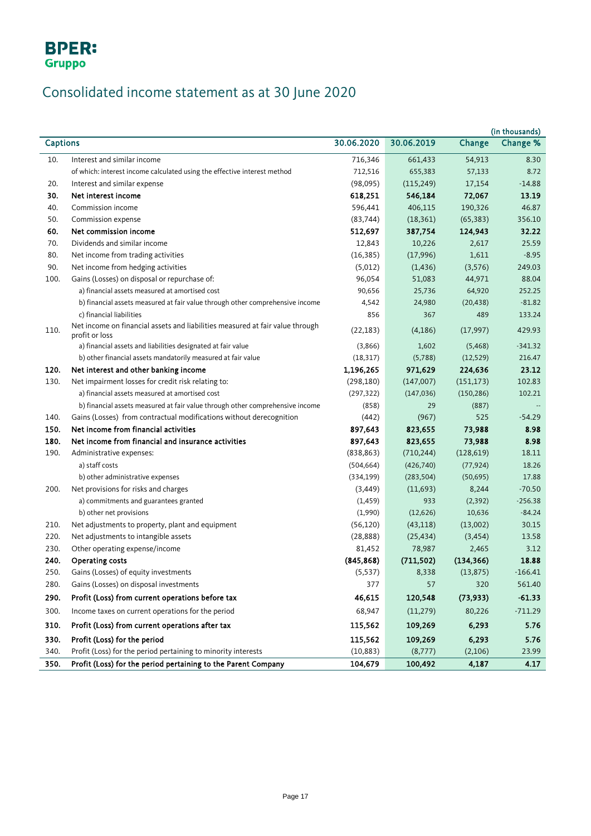

# Consolidated income statement as at 30 June 2020

| (in thousands)  |                                                                                                 |            |            |            |           |
|-----------------|-------------------------------------------------------------------------------------------------|------------|------------|------------|-----------|
| <b>Captions</b> |                                                                                                 | 30.06.2020 | 30.06.2019 | Change     | Change %  |
| 10.             | Interest and similar income                                                                     | 716,346    | 661,433    | 54,913     | 8.30      |
|                 | of which: interest income calculated using the effective interest method                        | 712,516    | 655,383    | 57,133     | 8.72      |
| 20.             | Interest and similar expense                                                                    | (98,095)   | (115, 249) | 17,154     | $-14.88$  |
| 30.             | Net interest income                                                                             | 618,251    | 546,184    | 72,067     | 13.19     |
| 40.             | Commission income                                                                               | 596,441    | 406,115    | 190,326    | 46.87     |
| 50.             | Commission expense                                                                              | (83, 744)  | (18, 361)  | (65, 383)  | 356.10    |
| 60.             | Net commission income                                                                           | 512,697    | 387,754    | 124,943    | 32.22     |
| 70.             | Dividends and similar income                                                                    | 12,843     | 10,226     | 2,617      | 25.59     |
| 80.             | Net income from trading activities                                                              | (16, 385)  | (17,996)   | 1,611      | $-8.95$   |
| 90.             | Net income from hedging activities                                                              | (5,012)    | (1, 436)   | (3,576)    | 249.03    |
| 100.            | Gains (Losses) on disposal or repurchase of:                                                    | 96,054     | 51,083     | 44,971     | 88.04     |
|                 | a) financial assets measured at amortised cost                                                  | 90,656     | 25,736     | 64,920     | 252.25    |
|                 | b) financial assets measured at fair value through other comprehensive income                   | 4,542      | 24,980     | (20, 438)  | $-81.82$  |
|                 | c) financial liabilities                                                                        | 856        | 367        | 489        | 133.24    |
| 110.            | Net income on financial assets and liabilities measured at fair value through<br>profit or loss | (22, 183)  | (4, 186)   | (17,997)   | 429.93    |
|                 | a) financial assets and liabilities designated at fair value                                    | (3,866)    | 1,602      | (5, 468)   | $-341.32$ |
|                 | b) other financial assets mandatorily measured at fair value                                    | (18, 317)  | (5,788)    | (12, 529)  | 216.47    |
| 120.            | Net interest and other banking income                                                           | 1,196,265  | 971,629    | 224,636    | 23.12     |
| 130.            | Net impairment losses for credit risk relating to:                                              | (298, 180) | (147,007)  | (151, 173) | 102.83    |
|                 | a) financial assets measured at amortised cost                                                  | (297, 322) | (147, 036) | (150, 286) | 102.21    |
|                 | b) financial assets measured at fair value through other comprehensive income                   | (858)      | 29         | (887)      |           |
| 140.            | Gains (Losses) from contractual modifications without derecognition                             | (442)      | (967)      | 525        | $-54.29$  |
| 150.            | Net income from financial activities                                                            | 897,643    | 823,655    | 73,988     | 8.98      |
| 180.            | Net income from financial and insurance activities                                              | 897,643    | 823,655    | 73,988     | 8.98      |
| 190.            | Administrative expenses:                                                                        | (838, 863) | (710, 244) | (128, 619) | 18.11     |
|                 | a) staff costs                                                                                  | (504, 664) | (426, 740) | (77, 924)  | 18.26     |
|                 | b) other administrative expenses                                                                | (334, 199) | (283, 504) | (50, 695)  | 17.88     |
| 200.            | Net provisions for risks and charges                                                            | (3,449)    | (11,693)   | 8,244      | $-70.50$  |
|                 | a) commitments and guarantees granted                                                           | (1, 459)   | 933        | (2, 392)   | $-256.38$ |
|                 | b) other net provisions                                                                         | (1,990)    | (12,626)   | 10,636     | $-84.24$  |
| 210.            | Net adjustments to property, plant and equipment                                                | (56, 120)  | (43, 118)  | (13,002)   | 30.15     |
| 220.            | Net adjustments to intangible assets                                                            | (28, 888)  | (25, 434)  | (3, 454)   | 13.58     |
| 230.            | Other operating expense/income                                                                  | 81,452     | 78,987     | 2,465      | 3.12      |
| 240.            | Operating costs                                                                                 | (845, 868) | (711, 502) | (134, 366) | 18.88     |
| 250.            | Gains (Losses) of equity investments                                                            | (5, 537)   | 8,338      | (13, 875)  | $-166.41$ |
| 280.            | Gains (Losses) on disposal investments                                                          | 377        | 57         | 320        | 561.40    |
| 290.            | Profit (Loss) from current operations before tax                                                | 46,615     | 120,548    | (73, 933)  | $-61.33$  |
| 300.            | Income taxes on current operations for the period                                               | 68,947     | (11, 279)  | 80,226     | $-711.29$ |
| 310.            | Profit (Loss) from current operations after tax                                                 | 115,562    | 109,269    | 6,293      | 5.76      |
| 330.            | Profit (Loss) for the period                                                                    | 115,562    | 109,269    | 6,293      | 5.76      |
| 340.            | Profit (Loss) for the period pertaining to minority interests                                   | (10, 883)  | (8,777)    | (2,106)    | 23.99     |
| 350.            | Profit (Loss) for the period pertaining to the Parent Company                                   | 104,679    | 100,492    | 4,187      | 4.17      |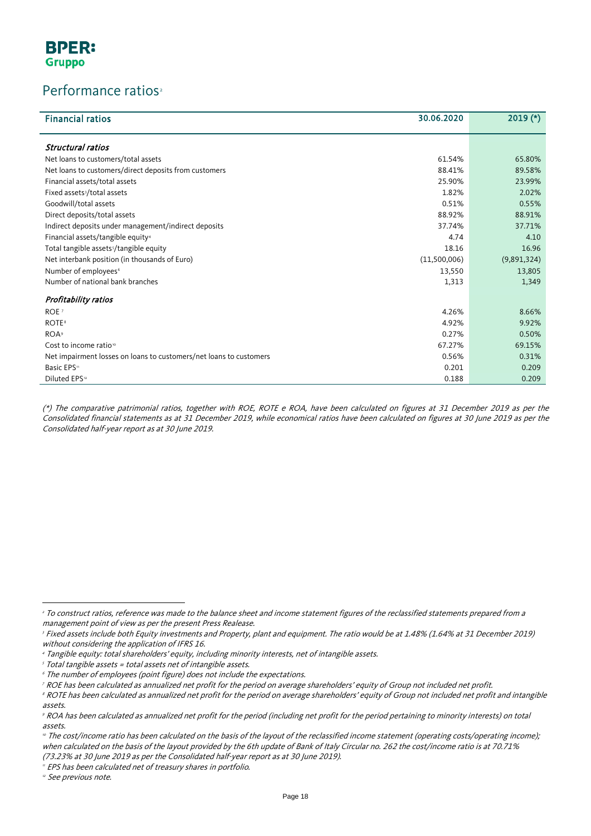### Performance ratios<sup>[2](#page-11-0)</sup>

| <b>Financial ratios</b>                                            | 30.06.2020   | $2019$ (*)  |
|--------------------------------------------------------------------|--------------|-------------|
| Structural ratios                                                  |              |             |
| Net loans to customers/total assets                                | 61.54%       | 65.80%      |
| Net loans to customers/direct deposits from customers              | 88.41%       | 89.58%      |
| Financial assets/total assets                                      | 25.90%       | 23.99%      |
| Fixed assets <sup>3</sup> /total assets                            | 1.82%        | 2.02%       |
| Goodwill/total assets                                              | 0.51%        | 0.55%       |
| Direct deposits/total assets                                       | 88.92%       | 88.91%      |
| Indirect deposits under management/indirect deposits               | 37.74%       | 37.71%      |
| Financial assets/tangible equity <sup>4</sup>                      | 4.74         | 4.10        |
| Total tangible assets <sup>5</sup> /tangible equity                | 18.16        | 16.96       |
| Net interbank position (in thousands of Euro)                      | (11,500,006) | (9,891,324) |
| Number of employees <sup>6</sup>                                   | 13,550       | 13,805      |
| Number of national bank branches                                   | 1,313        | 1,349       |
| Profitability ratios                                               |              |             |
| ROE <sup>7</sup>                                                   | 4.26%        | 8.66%       |
| <b>ROTE</b> <sup>8</sup>                                           | 4.92%        | 9.92%       |
| <b>ROA</b> <sup>9</sup>                                            | 0.27%        | 0.50%       |
| Cost to income ratio <sup>®</sup>                                  | 67.27%       | 69.15%      |
| Net impairment losses on loans to customers/net loans to customers | 0.56%        | 0.31%       |
| Basic EPS <sup>11</sup>                                            | 0.201        | 0.209       |
| Diluted EPS <sup>12</sup>                                          | 0.188        | 0.209       |

(\*) The comparative patrimonial ratios, together with ROE, ROTE e ROA, have been calculated on figures at 31 December 2019 as per the Consolidated financial statements as at 31 December 2019, while economical ratios have been calculated on figures at 30 June 2019 as per the Consolidated half-year report as at 30 June 2019.

 $\overline{a}$ 

<sup>&</sup>lt;sup>2</sup> To construct ratios, reference was made to the balance sheet and income statement figures of the reclassified statements prepared from a management point of view as per the present Press Realease.

<span id="page-17-0"></span><sup>&</sup>lt;sup>3</sup> Fixed assets include both Equity investments and Property, plant and equipment. The ratio would be at 1.48% (1.64% at 31 December 2019) without considering the application of IFRS 16.

<span id="page-17-1"></span><sup>4</sup> Tangible equity: total shareholders' equity, including minority interests, net of intangible assets.

<span id="page-17-2"></span><sup>5</sup> Total tangible assets = total assets net of intangible assets.

<span id="page-17-3"></span><sup>&</sup>lt;sup>6</sup> The number of employees (point figure) does not include the expectations.

<span id="page-17-4"></span><sup>7</sup> ROE has been calculated as annualized net profit for the period on average shareholders' equity of Group not included net profit.

<span id="page-17-5"></span><sup>&</sup>lt;sup>8</sup> ROTE has been calculated as annualized net profit for the period on average shareholders' equity of Group not included net profit and intangible assets.

<span id="page-17-6"></span><sup>9</sup> ROA has been calculated as annualized net profit for the period (including net profit for the period pertaining to minority interests) on total assets.

<span id="page-17-7"></span><sup>&</sup>lt;sup>10</sup> The cost/income ratio has been calculated on the basis of the layout of the reclassified income statement (operating costs/operating income); when calculated on the basis of the layout provided by the 6th update of Bank of Italy Circular no. 262 the cost/income ratio is at 70.71% (73.23% at 30 June 2019 as per the Consolidated half-year report as at 30 June 2019).

<span id="page-17-8"></span><sup>&</sup>quot; EPS has been calculated net of treasury shares in portfolio.

<span id="page-17-9"></span><sup>&</sup>lt;sup>12</sup> See previous note.